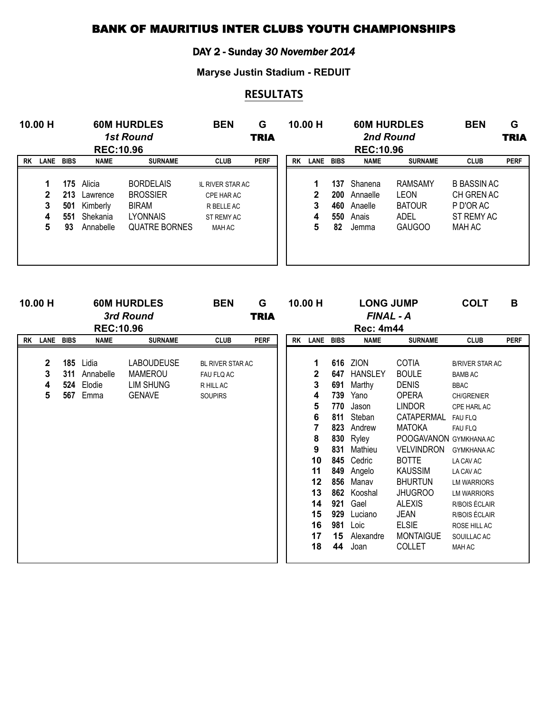## BANK OF MAURITIUS INTER CLUBS YOUTH CHAMPIONSHIPS

## DAY 2 - Sunday *30 November 2014*

**Maryse Justin Stadium - REDUIT**

## **RESULTATS**

|    | 10.00 H<br><b>60M HURDLES</b><br><b>1st Round</b><br><b>REC:10.96</b> |                  |                                                                 | <b>BEN</b>                                                                                     | G<br><b>TRIA</b>                                                                   |             | 10.00 H   |                       | <b>60M HURDLES</b><br><b>REC:10.96</b> | 2nd Round                                            | <b>BEN</b>                                                       | G<br><b>TRIA</b>                                                      |             |
|----|-----------------------------------------------------------------------|------------------|-----------------------------------------------------------------|------------------------------------------------------------------------------------------------|------------------------------------------------------------------------------------|-------------|-----------|-----------------------|----------------------------------------|------------------------------------------------------|------------------------------------------------------------------|-----------------------------------------------------------------------|-------------|
| RK | LANE                                                                  | <b>BIBS</b>      | <b>NAME</b>                                                     | <b>SURNAME</b>                                                                                 | <b>CLUB</b>                                                                        | <b>PERF</b> | <b>RK</b> | LANE BIBS             |                                        | <b>NAME</b>                                          | <b>SURNAME</b>                                                   | <b>CLUB</b>                                                           | <b>PERF</b> |
|    | 1<br>$\mathbf{2}$<br>3<br>4<br>5                                      | 501<br>551<br>93 | 175 Alicia<br>213 Lawrence<br>Kimberly<br>Shekania<br>Annabelle | <b>BORDELAIS</b><br><b>BROSSIER</b><br><b>BIRAM</b><br><b>LYONNAIS</b><br><b>QUATRE BORNES</b> | <b>IL RIVER STAR AC</b><br>CPE HAR AC<br>R BELLE AC<br>ST REMY AC<br><b>MAH AC</b> |             |           | 1<br>2<br>3<br>4<br>5 | 137<br>460<br>550<br>82                | Shanena<br>200 Annaelle<br>Anaelle<br>Anais<br>Jemma | <b>RAMSAMY</b><br>LEON<br><b>BATOUR</b><br>ADEL<br><b>GAUGOO</b> | <b>B BASSIN AC</b><br>CH GREN AC<br>P D'OR AC<br>ST REMY AC<br>MAH AC |             |

| 10.00 H      |     |                  | <b>60M HURDLES</b> | <b>BEN</b>              | G           | 10.00 H |              |     | <b>LONG JUMP</b> |                       | <b>COLT</b>            | B           |
|--------------|-----|------------------|--------------------|-------------------------|-------------|---------|--------------|-----|------------------|-----------------------|------------------------|-------------|
|              |     |                  | 3rd Round          |                         | <b>TRIA</b> |         |              |     | FINAL - A        |                       |                        |             |
|              |     | <b>REC:10.96</b> |                    |                         |             |         |              |     | <b>Rec: 4m44</b> |                       |                        |             |
| RK LANE BIBS |     | <b>NAME</b>      | <b>SURNAME</b>     | <b>CLUB</b>             | <b>PERF</b> |         | RK LANE BIBS |     | <b>NAME</b>      | <b>SURNAME</b>        | <b>CLUB</b>            | <b>PERF</b> |
|              |     |                  |                    |                         |             |         |              |     |                  |                       |                        |             |
| $\mathbf{2}$ |     | 185 Lidia        | <b>LABOUDEUSE</b>  | <b>BL RIVER STAR AC</b> |             |         | 1            | 616 | <b>ZION</b>      | <b>COTIA</b>          | <b>B/RIVER STAR AC</b> |             |
| 3            | 311 | Annabelle        | <b>MAMEROU</b>     | FAU FLQ AC              |             |         | 2            | 647 | <b>HANSLEY</b>   | <b>BOULE</b>          | <b>BAMB AC</b>         |             |
| 4            |     | 524 Elodie       | LIM SHUNG          | R HILL AC               |             |         | 3            | 691 | Marthy           | <b>DENIS</b>          | <b>BBAC</b>            |             |
| 5            | 567 | Emma             | <b>GENAVE</b>      | <b>SOUPIRS</b>          |             |         | 4            | 739 | Yano             | OPERA                 | <b>CH/GRENIER</b>      |             |
|              |     |                  |                    |                         |             |         | 5            | 770 | Jason            | <b>LINDOR</b>         | CPE HARL AC            |             |
|              |     |                  |                    |                         |             |         | 6            | 811 | Steban           | CATAPERMAL            | <b>FAU FLQ</b>         |             |
|              |     |                  |                    |                         |             |         |              | 823 | Andrew           | <b>MATOKA</b>         | <b>FAU FLQ</b>         |             |
|              |     |                  |                    |                         |             |         | 8            | 830 | Ryley            | POOGAVANON GYMKHANAAC |                        |             |
|              |     |                  |                    |                         |             |         | 9            | 831 | Mathieu          | <b>VELVINDRON</b>     | <b>GYMKHANAAC</b>      |             |
|              |     |                  |                    |                         |             |         | 10           | 845 | Cedric           | <b>BOTTE</b>          | LA CAV AC              |             |
|              |     |                  |                    |                         |             |         | 11           | 849 | Angelo           | <b>KAUSSIM</b>        | LA CAV AC              |             |
|              |     |                  |                    |                         |             |         | 12           | 856 | Manav            | <b>BHURTUN</b>        | <b>LM WARRIORS</b>     |             |
|              |     |                  |                    |                         |             |         | 13           | 862 | Kooshal          | <b>JHUGROO</b>        | <b>LM WARRIORS</b>     |             |
|              |     |                  |                    |                         |             |         | 14           | 921 | Gael             | ALEXIS                | R/BOIS ÉCLAIR          |             |
|              |     |                  |                    |                         |             |         | 15           | 929 | Luciano          | JEAN                  | R/BOIS ÉCLAIR          |             |
|              |     |                  |                    |                         |             |         | 16           | 981 | Loic             | <b>ELSIE</b>          | ROSE HILL AC           |             |
|              |     |                  |                    |                         |             |         | 17           | 15  | Alexandre        | <b>MONTAIGUE</b>      | SOUILLAC AC            |             |
|              |     |                  |                    |                         |             |         | 18           | 44  | Joan             | <b>COLLET</b>         | MAH AC                 |             |
|              |     |                  |                    |                         |             |         |              |     |                  |                       |                        |             |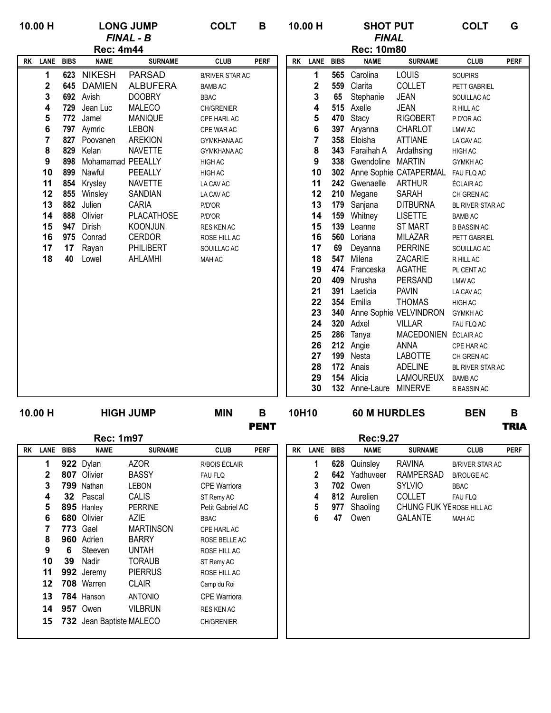| 10.00 H |             |                   | <b>LONG JUMP</b>  | <b>COLT</b>            | B           |           | 10.00 H        |             | <b>SHOT PUT</b>      |                            | <b>COLT</b>        | G           |
|---------|-------------|-------------------|-------------------|------------------------|-------------|-----------|----------------|-------------|----------------------|----------------------------|--------------------|-------------|
|         |             |                   | <b>FINAL - B</b>  |                        |             |           |                |             | <b>FINAL</b>         |                            |                    |             |
|         |             | <b>Rec: 4m44</b>  |                   |                        |             |           |                |             | <b>Rec: 10m80</b>    |                            |                    |             |
| RK LANE | <b>BIBS</b> | <b>NAME</b>       | <b>SURNAME</b>    | <b>CLUB</b>            | <b>PERF</b> | <b>RK</b> | LANE           | <b>BIBS</b> | <b>NAME</b>          | <b>SURNAME</b>             | <b>CLUB</b>        | <b>PERF</b> |
| 1       | 623         | <b>NIKESH</b>     | <b>PARSAD</b>     | <b>B/RIVER STAR AC</b> |             |           | 1              | 565         | Carolina             | LOUIS                      | <b>SOUPIRS</b>     |             |
| 2       | 645         | <b>DAMIEN</b>     | <b>ALBUFERA</b>   | <b>BAMB AC</b>         |             |           | $\mathbf 2$    | 559         | Clarita              | COLLET                     | PETT GABRIEL       |             |
| 3       |             | 692 Avish         | <b>DOOBRY</b>     | <b>BBAC</b>            |             |           | 3              | 65          | Stephanie            | <b>JEAN</b>                | SOUILLAC AC        |             |
| 4       |             | 729 Jean Luc      | <b>MALECO</b>     | CH/GRENIER             |             |           | 4              |             | 515 Axelle           | <b>JEAN</b>                | R HILL AC          |             |
| 5       |             | 772 Jamel         | <b>MANIQUE</b>    | CPE HARL AC            |             |           | 5              | 470         | Stacy                | <b>RIGOBERT</b>            | P D'OR AC          |             |
| 6       |             | 797 Aymric        | <b>LEBON</b>      | CPE WAR AC             |             |           | 6              | 397         | Aryanna              | <b>CHARLOT</b>             | <b>LMW AC</b>      |             |
| 7       |             | 827 Poovanen      | <b>AREKION</b>    | GYMKHANA AC            |             |           | $\overline{7}$ | 358         | Eloisha              | <b>ATTIANE</b>             | LA CAV AC          |             |
| 8       | 829         | Kelan             | <b>NAVETTE</b>    | <b>GYMKHANA AC</b>     |             |           | 8              |             | 343 Faraihah A       | Ardathsing                 | HIGH AC            |             |
| 9       | 898         | Mohamamad PEEALLY |                   | HIGH AC                |             |           | 9              | 338         | Gwendoline MARTIN    |                            | <b>GYMKH AC</b>    |             |
| 10      | 899         | Nawful            | PEEALLY           | HIGH AC                |             |           | 10             |             |                      | 302 Anne Sophie CATAPERMAL | FAU FLQ AC         |             |
| 11      | 854         | Krysley           | <b>NAVETTE</b>    | LA CAV AC              |             |           | 11             |             | 242 Gwenaelle ARTHUR |                            | ÉCLAIR AC          |             |
| 12      | 855         | Winsley           | SANDIAN           | LA CAV AC              |             |           | 12             |             | 210 Megane           | <b>SARAH</b>               | CH GREN AC         |             |
| 13      | 882         | Julien            | CARIA             | P/D'OR                 |             |           | 13             |             | 179 Sanjana          | <b>DITBURNA</b>            | BL RIVER STAR AC   |             |
| 14      | 888         | Olivier           | <b>PLACATHOSE</b> | P/D'OR                 |             |           | 14             | 159         | Whitney              | <b>LISETTE</b>             | <b>BAMB AC</b>     |             |
| 15      | 947         | Dirish            | <b>KOONJUN</b>    | RES KEN AC             |             |           | 15             | 139         | Leanne               | <b>ST MART</b>             | <b>B BASSIN AC</b> |             |
| 16      | 975         | Conrad            | <b>CERDOR</b>     | ROSE HILL AC           |             |           | 16             | 560         | Loriana              | <b>MILAZAR</b>             | PETT GABRIEL       |             |
| 17      | 17          | Rayan             | PHILIBERT         | SOUILLAC AC            |             |           | 17             | 69          | Deyanna              | <b>PERRINE</b>             | SOUILLAC AC        |             |
| 18      | 40          | Lowel             | <b>AHLAMHI</b>    | MAH AC                 |             |           | 18             | 547         | Milena               | <b>ZACARIE</b>             | R HILL AC          |             |
|         |             |                   |                   |                        |             |           | 19             | 474         | Franceska            | AGATHE                     | PL CENT AC         |             |
|         |             |                   |                   |                        |             |           | 20             | 409         | Nirusha              | PERSAND                    | <b>LMW AC</b>      |             |
|         |             |                   |                   |                        |             |           | 21             | 391         | Laeticia             | <b>PAVIN</b>               | LA CAV AC          |             |
|         |             |                   |                   |                        |             |           | 22             | 354         | Emilia               | <b>THOMAS</b>              | HIGH AC            |             |
|         |             |                   |                   |                        |             |           | 23             | 340         |                      | Anne Sophie VELVINDRON     | <b>GYMKH AC</b>    |             |
|         |             |                   |                   |                        |             |           | 24             | 320         | Adxel                | <b>VILLAR</b>              | FAU FLQ AC         |             |
|         |             |                   |                   |                        |             |           | 25             | 286         | Tanya                | <b>MACEDONIEN</b>          | <b>ÉCLAIR AC</b>   |             |
|         |             |                   |                   |                        |             |           | 26             |             | 212 Angie            | <b>ANNA</b>                | CPE HAR AC         |             |
|         |             |                   |                   |                        |             |           | 27             |             | 199 Nesta            | <b>LABOTTE</b>             | CH GREN AC         |             |
|         |             |                   |                   |                        |             |           | 28             | 172         | Anais                | <b>ADELINE</b>             | BL RIVER STAR AC   |             |
|         |             |                   |                   |                        |             |           | 29             | 154         | Alicia               | LAMOUREUX                  | <b>BAMB AC</b>     |             |
|         |             |                   |                   |                        |             |           | 30             |             | 132 Anne-Laure       | <b>MINERVE</b>             | <b>B BASSIN AC</b> |             |

**HIGH JUMP**

PENT TRIA

**10.00 H MIN B 10H10 BEN B 60 M HURDLES**

|    |      |             | <b>Rec: 1m97</b>         |                  |                     |             |           |             |             | Rec:9.27    |                           |                        |             |
|----|------|-------------|--------------------------|------------------|---------------------|-------------|-----------|-------------|-------------|-------------|---------------------------|------------------------|-------------|
| RK | LANE | <b>BIBS</b> | <b>NAME</b>              | <b>SURNAME</b>   | <b>CLUB</b>         | <b>PERF</b> | <b>RK</b> | <b>LANE</b> | <b>BIBS</b> | <b>NAME</b> | <b>SURNAME</b>            | <b>CLUB</b>            | <b>PERF</b> |
|    | 1    |             | 922 Dylan                | <b>AZOR</b>      | R/BOIS ÉCLAIR       |             |           |             | 628         | Quinsley    | <b>RAVINA</b>             | <b>B/RIVER STAR AC</b> |             |
|    | 2    | 807         | Olivier                  | <b>BASSY</b>     | <b>FAU FLQ</b>      |             |           | 2           | 642         | Yadhuveer   | RAMPERSAD                 | <b>B/ROUGE AC</b>      |             |
|    | 3    | 799         | Nathan                   | LEBON            | <b>CPE Warriora</b> |             |           | 3           | 702         | Owen        | <b>SYLVIO</b>             | <b>BBAC</b>            |             |
|    | 4    |             | 32 Pascal                | <b>CALIS</b>     | ST Remy AC          |             |           | 4           | 812         | Aurelien    | <b>COLLET</b>             | <b>FAU FLQ</b>         |             |
|    | 5    |             | 895 Hanley               | <b>PERRINE</b>   | Petit Gabriel AC    |             |           | 5           | 977         | Shaoling    | CHUNG FUK YE ROSE HILL AC |                        |             |
|    | 6    | 680         | Olivier                  | <b>AZIE</b>      | <b>BBAC</b>         |             |           | 6           | 47          | Owen        | <b>GALANTE</b>            | MAH AC                 |             |
|    |      | 773         | Gael                     | <b>MARTINSON</b> | CPE HARL AC         |             |           |             |             |             |                           |                        |             |
|    | 8    | 960         | Adrien                   | <b>BARRY</b>     | ROSE BELLE AC       |             |           |             |             |             |                           |                        |             |
|    | 9    | 6           | Steeven                  | <b>UNTAH</b>     | ROSE HILL AC        |             |           |             |             |             |                           |                        |             |
|    | 10   | 39          | Nadir                    | <b>TORAUB</b>    | ST Remy AC          |             |           |             |             |             |                           |                        |             |
|    | 11   |             | 992 Jeremy               | <b>PIERRUS</b>   | ROSE HILL AC        |             |           |             |             |             |                           |                        |             |
|    | 12   |             | 708 Warren               | <b>CLAIR</b>     | Camp du Roi         |             |           |             |             |             |                           |                        |             |
|    | 13   |             | 784 Hanson               | <b>ANTONIO</b>   | <b>CPE Warriora</b> |             |           |             |             |             |                           |                        |             |
|    | 14   |             | <b>957</b> Owen          | <b>VILBRUN</b>   | RES KEN AC          |             |           |             |             |             |                           |                        |             |
|    | 15   |             | 732 Jean Baptiste MALECO |                  | <b>CH/GRENIER</b>   |             |           |             |             |             |                           |                        |             |

|             |           |             |             | Rec:9.27        |                           |                        |             |
|-------------|-----------|-------------|-------------|-----------------|---------------------------|------------------------|-------------|
| <b>PERF</b> | <b>RK</b> | <b>LANE</b> | <b>BIBS</b> | <b>NAME</b>     | <b>SURNAME</b>            | <b>CLUB</b>            | <b>PERF</b> |
| R           |           | 1           | 628         | Quinsley        | RAVINA                    | <b>B/RIVER STAR AC</b> |             |
|             |           | 2           |             | 642 Yadhuveer   | RAMPERSAD                 | <b>B/ROUGE AC</b>      |             |
| a           |           | 3           |             | <b>702</b> Owen | <b>SYLVIO</b>             | <b>BBAC</b>            |             |
|             |           | 4           |             | 812 Aurelien    | <b>COLLET</b>             | <b>FAU FLQ</b>         |             |
| АC          |           | 5           | 977         | Shaoling        | CHUNG FUK YE ROSE HILL AC |                        |             |
|             |           | 6           | 47          | Owen            | GALANTE                   | <b>MAH AC</b>          |             |
|             |           |             |             |                 |                           |                        |             |
| AС          |           |             |             |                 |                           |                        |             |
|             |           |             |             |                 |                           |                        |             |
|             |           |             |             |                 |                           |                        |             |
|             |           |             |             |                 |                           |                        |             |
|             |           |             |             |                 |                           |                        |             |
| a           |           |             |             |                 |                           |                        |             |
|             |           |             |             |                 |                           |                        |             |
|             |           |             |             |                 |                           |                        |             |
|             |           |             |             |                 |                           |                        |             |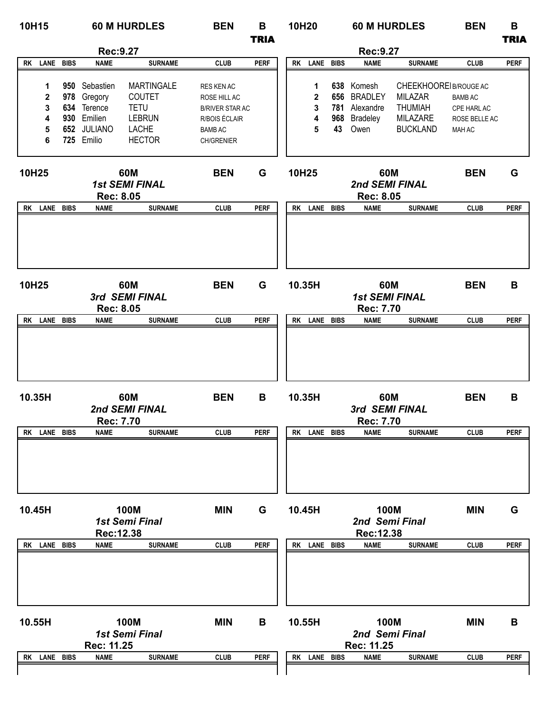| 10H15        |             |                                 | <b>60 M HURDLES</b>           | <b>BEN</b>             | B           | 10H20     |              |     | <b>60 M HURDLES</b>                       |                       | <b>BEN</b>     | В           |
|--------------|-------------|---------------------------------|-------------------------------|------------------------|-------------|-----------|--------------|-----|-------------------------------------------|-----------------------|----------------|-------------|
|              |             |                                 |                               |                        | <b>TRIA</b> |           |              |     |                                           |                       |                | <b>TRIA</b> |
| RK LANE BIBS |             | Rec:9.27<br><b>NAME</b>         | <b>SURNAME</b>                | <b>CLUB</b>            | <b>PERF</b> | <b>RK</b> | LANE BIBS    |     | Rec:9.27<br><b>NAME</b>                   | <b>SURNAME</b>        | <b>CLUB</b>    | <b>PERF</b> |
|              |             |                                 |                               |                        |             |           |              |     |                                           |                       |                |             |
| 1            |             | 950 Sebastien                   | <b>MARTINGALE</b>             | RES KEN AC             |             |           | 1            | 638 | Komesh                                    | CHEEKHOOREIB/ROUGE AC |                |             |
| $\mathbf 2$  |             | 978 Gregory                     | COUTET                        | ROSE HILL AC           |             |           | 2            | 656 | <b>BRADLEY</b>                            | <b>MILAZAR</b>        | <b>BAMB AC</b> |             |
| 3            |             | 634 Terence                     | <b>TETU</b>                   | <b>B/RIVER STAR AC</b> |             |           | 3            | 781 | Alexandre                                 | THUMIAH               | CPE HARL AC    |             |
| 4            |             | 930 Emilien                     | <b>LEBRUN</b>                 | R/BOIS ÉCLAIR          |             |           | 4            | 968 | <b>Bradeley</b>                           | <b>MILAZARE</b>       | ROSE BELLE AC  |             |
| 5            |             | 652 JULIANO                     | <b>LACHE</b>                  | <b>BAMB AC</b>         |             |           | 5            | 43  | Owen                                      | <b>BUCKLAND</b>       | <b>MAH AC</b>  |             |
| 6            |             | 725 Emilio                      | <b>HECTOR</b>                 | CH/GRENIER             |             |           |              |     |                                           |                       |                |             |
| 10H25        |             | <b>Rec: 8.05</b>                | 60M<br><b>1st SEMI FINAL</b>  | <b>BEN</b>             | G           | 10H25     |              |     | 60M<br>2nd SEMI FINAL<br><b>Rec: 8.05</b> |                       | <b>BEN</b>     | G           |
| RK LANE BIBS |             | <b>NAME</b>                     | <b>SURNAME</b>                | <b>CLUB</b>            | <b>PERF</b> |           | RK LANE BIBS |     | <b>NAME</b>                               | <b>SURNAME</b>        | <b>CLUB</b>    | <b>PERF</b> |
| 10H25        |             |                                 | 60M<br>3rd SEMI FINAL         | <b>BEN</b>             | G           | 10.35H    |              |     | 60M<br><b>1st SEMI FINAL</b>              |                       | <b>BEN</b>     | B           |
| RK LANE BIBS |             | <b>Rec: 8.05</b><br><b>NAME</b> | <b>SURNAME</b>                | <b>CLUB</b>            | <b>PERF</b> |           | RK LANE BIBS |     | <b>Rec: 7.70</b><br><b>NAME</b>           | <b>SURNAME</b>        | <b>CLUB</b>    | <b>PERF</b> |
|              |             |                                 |                               |                        |             |           |              |     |                                           |                       |                |             |
| 10.35H       |             | <b>Rec: 7.70</b>                | 60M<br>2nd SEMI FINAL         | <b>BEN</b>             | В           | 10.35H    |              |     | 60M<br>3rd SEMI FINAL<br><b>Rec: 7.70</b> |                       | <b>BEN</b>     | B           |
| LANE<br>RK   | BIBS        | <b>NAME</b>                     | <b>SURNAME</b>                | <b>CLUB</b>            | <b>PERF</b> | RK        | LANE BIBS    |     | <b>NAME</b>                               | <b>SURNAME</b>        | <b>CLUB</b>    | <b>PERF</b> |
| 10.45H       |             |                                 | <b>100M</b>                   | <b>MIN</b>             | G           | 10.45H    |              |     | <b>100M</b>                               |                       | <b>MIN</b>     | G           |
|              |             | Rec: 12.38                      | <b>1st Semi Final</b>         |                        |             |           |              |     | 2nd Semi Final<br>Rec: 12.38              |                       |                |             |
| RK LANE      | <b>BIBS</b> | <b>NAME</b>                     | <b>SURNAME</b>                | <b>CLUB</b>            | <b>PERF</b> | RK        | LANE BIBS    |     | <b>NAME</b>                               | <b>SURNAME</b>        | <b>CLUB</b>    | <b>PERF</b> |
|              |             |                                 |                               |                        |             |           |              |     |                                           |                       |                |             |
| 10.55H       |             | Rec: 11.25                      | 100M<br><b>1st Semi Final</b> | <b>MIN</b>             | В           | 10.55H    |              |     | 100M<br>2nd Semi Final<br>Rec: 11.25      |                       | <b>MIN</b>     | В           |
| RK LANE BIBS |             | <b>NAME</b>                     | <b>SURNAME</b>                | <b>CLUB</b>            | <b>PERF</b> | RK        | LANE BIBS    |     | <b>NAME</b>                               | <b>SURNAME</b>        | <b>CLUB</b>    | <b>PERF</b> |
|              |             |                                 |                               |                        |             |           |              |     |                                           |                       |                |             |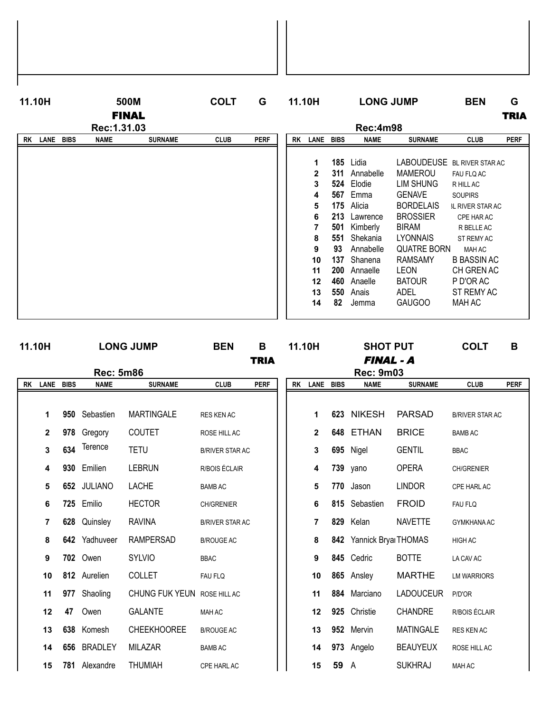| 11.10H            |             | 500M         |                | <b>COLT</b> | G           | 11.10H    |              |             | <b>LONG JUMP</b> |                    | <b>BEN</b>              | G           |
|-------------------|-------------|--------------|----------------|-------------|-------------|-----------|--------------|-------------|------------------|--------------------|-------------------------|-------------|
|                   |             | <b>FINAL</b> |                |             |             |           |              |             |                  |                    |                         | <b>TRIA</b> |
|                   |             | Rec: 1.31.03 |                |             |             |           |              |             | <b>Rec:4m98</b>  |                    |                         |             |
| LANE<br><b>RK</b> | <b>BIBS</b> | <b>NAME</b>  | <b>SURNAME</b> | <b>CLUB</b> | <b>PERF</b> | <b>RK</b> | <b>LANE</b>  | <b>BIBS</b> | <b>NAME</b>      | <b>SURNAME</b>     | <b>CLUB</b>             | <b>PERF</b> |
|                   |             |              |                |             |             |           |              |             |                  |                    |                         |             |
|                   |             |              |                |             |             |           | 1            | 185         | Lidia            | <b>LABOUDEUSE</b>  | <b>BL RIVER STAR AC</b> |             |
|                   |             |              |                |             |             |           | $\mathbf{2}$ | 311         | Annabelle        | <b>MAMEROU</b>     | FAU FLQ AC              |             |
|                   |             |              |                |             |             |           | 3            | 524         | Elodie           | <b>LIM SHUNG</b>   | R HILL AC               |             |
|                   |             |              |                |             |             |           | 4            | 567         | Emma             | <b>GENAVE</b>      | <b>SOUPIRS</b>          |             |
|                   |             |              |                |             |             |           | 5            | 175         | Alicia           | <b>BORDELAIS</b>   | <b>IL RIVER STAR AC</b> |             |
|                   |             |              |                |             |             |           | 6            | 213         | Lawrence         | <b>BROSSIER</b>    | CPE HAR AC              |             |
|                   |             |              |                |             |             |           | 7            | 501         | Kimberly         | <b>BIRAM</b>       | R BELLE AC              |             |
|                   |             |              |                |             |             |           | 8            | 551         | Shekania         | <b>LYONNAIS</b>    | ST REMY AC              |             |
|                   |             |              |                |             |             |           | 9            | 93          | Annabelle        | <b>QUATRE BORN</b> | <b>MAH AC</b>           |             |
|                   |             |              |                |             |             |           | 10           | 137         | Shanena          | <b>RAMSAMY</b>     | <b>B BASSIN AC</b>      |             |
|                   |             |              |                |             |             |           | 11           | 200         | Annaelle         | <b>LEON</b>        | CH GREN AC              |             |
|                   |             |              |                |             |             |           | 12           | 460         | Anaelle          | <b>BATOUR</b>      | P D'OR AC               |             |
|                   |             |              |                |             |             |           | 13           | 550         | Anais            | <b>ADEL</b>        | ST REMY AC              |             |
|                   |             |              |                |             |             |           | 14           | 82          | Jemma            | <b>GAUGOO</b>      | MAH AC                  |             |
|                   |             |              |                |             |             |           |              |             |                  |                    |                         |             |

| 11.10H |              |     |                  | <b>LONG JUMP</b>   | <b>BEN</b>             | B           | 11.10H |                |      | <b>SHOT PUT</b>          |                  | <b>COLT</b>            | B           |
|--------|--------------|-----|------------------|--------------------|------------------------|-------------|--------|----------------|------|--------------------------|------------------|------------------------|-------------|
|        |              |     |                  |                    |                        | <b>TRIA</b> |        |                |      | <b>FINAL - A</b>         |                  |                        |             |
|        |              |     | <b>Rec: 5m86</b> |                    |                        |             |        |                |      | <b>Rec: 9m03</b>         |                  |                        |             |
|        | RK LANE BIBS |     | <b>NAME</b>      | <b>SURNAME</b>     | <b>CLUB</b>            | <b>PERF</b> |        | RK LANE BIBS   |      | <b>NAME</b>              | <b>SURNAME</b>   | <b>CLUB</b>            | <b>PERF</b> |
|        |              |     |                  |                    |                        |             |        |                |      |                          |                  |                        |             |
|        | 1            | 950 | Sebastien        | <b>MARTINGALE</b>  | <b>RES KEN AC</b>      |             |        | 1              |      | 623 NIKESH               | <b>PARSAD</b>    | <b>B/RIVER STAR AC</b> |             |
|        | $\mathbf{2}$ | 978 | Gregory          | COUTET             | ROSE HILL AC           |             |        | $\mathbf{2}$   |      | 648 ETHAN                | <b>BRICE</b>     | <b>BAMB AC</b>         |             |
|        | 3            | 634 | Terence          | <b>TETU</b>        | <b>B/RIVER STAR AC</b> |             |        | 3              | 695  | Nigel                    | <b>GENTIL</b>    | <b>BBAC</b>            |             |
|        | 4            | 930 | Emilien          | <b>LEBRUN</b>      | R/BOIS ÉCLAIR          |             |        | 4              |      | 739 yano                 | <b>OPERA</b>     | <b>CH/GRENIER</b>      |             |
|        | 5            |     | 652 JULIANO      | <b>LACHE</b>       | <b>BAMB AC</b>         |             |        | 5              | 770  | Jason                    | <b>LINDOR</b>    | CPE HARL AC            |             |
|        | 6            |     | 725 Emilio       | <b>HECTOR</b>      | CH/GRENIER             |             |        | 6              |      | 815 Sebastien            | <b>FROID</b>     | FAU FLQ                |             |
|        | 7            | 628 | Quinsley         | <b>RAVINA</b>      | <b>B/RIVER STAR AC</b> |             |        | $\overline{7}$ | 829  | Kelan                    | <b>NAVETTE</b>   | <b>GYMKHANA AC</b>     |             |
|        | 8            | 642 | Yadhuveer        | <b>RAMPERSAD</b>   | <b>B/ROUGE AC</b>      |             |        | 8              |      | 842 Yannick Bryal THOMAS |                  | HIGH AC                |             |
|        | 9            |     | 702 Owen         | <b>SYLVIO</b>      | <b>BBAC</b>            |             |        | 9              |      | 845 Cedric               | <b>BOTTE</b>     | LA CAV AC              |             |
|        | 10           |     | 812 Aurelien     | <b>COLLET</b>      | FAU FLQ                |             |        | 10             |      | 865 Ansley               | <b>MARTHE</b>    | <b>LM WARRIORS</b>     |             |
|        | 11           | 977 | Shaoling         | CHUNG FUK YEUN     | ROSE HILL AC           |             |        | 11             | 884  | Marciano                 | <b>LADOUCEUR</b> | P/D'OR                 |             |
|        | 12           | 47  | Owen             | <b>GALANTE</b>     | MAH AC                 |             |        | 12             |      | 925 Christie             | <b>CHANDRE</b>   | R/BOIS ÉCLAIR          |             |
|        | 13           | 638 | Komesh           | <b>CHEEKHOOREE</b> | <b>B/ROUGE AC</b>      |             |        | 13             |      | 952 Mervin               | <b>MATINGALE</b> | <b>RES KEN AC</b>      |             |
|        | 14           |     | 656 BRADLEY      | <b>MILAZAR</b>     | <b>BAMB AC</b>         |             |        | 14             |      | 973 Angelo               | <b>BEAUYEUX</b>  | ROSE HILL AC           |             |
|        | 15           |     | 781 Alexandre    | <b>THUMIAH</b>     | CPE HARL AC            |             |        | 15             | 59 A |                          | <b>SUKHRAJ</b>   | MAH AC                 |             |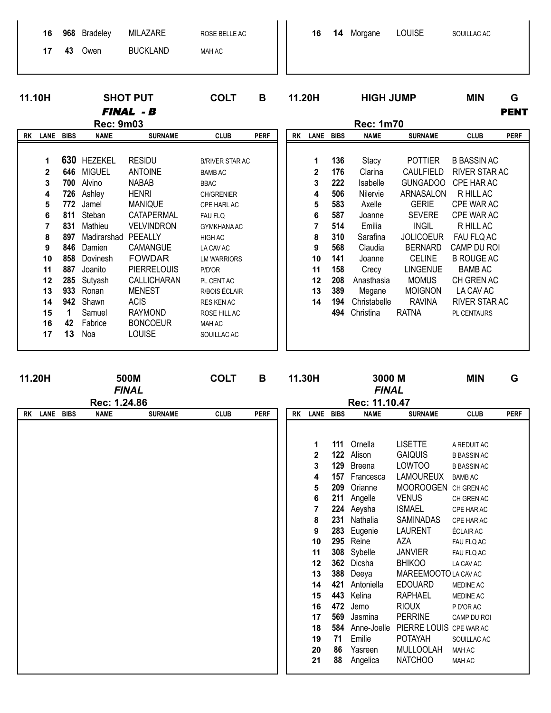|    | 16<br>17                         | 968<br>43                       | <b>Bradeley</b><br>Owen                                      | MILAZARE<br><b>BUCKLAND</b>                                                       | ROSE BELLE AC<br>MAH AC                                                                     |             |           | 16                    | 14                              | Morgane                                                   | <b>LOUISE</b>                                                                      | SOUILLAC AC                                                                  |                  |
|----|----------------------------------|---------------------------------|--------------------------------------------------------------|-----------------------------------------------------------------------------------|---------------------------------------------------------------------------------------------|-------------|-----------|-----------------------|---------------------------------|-----------------------------------------------------------|------------------------------------------------------------------------------------|------------------------------------------------------------------------------|------------------|
|    | 11.10H                           |                                 |                                                              | <b>SHOT PUT</b><br><b>FINAL - B</b>                                               | <b>COLT</b>                                                                                 | B           | 11.20H    |                       |                                 | <b>HIGH JUMP</b>                                          |                                                                                    | <b>MIN</b>                                                                   | G<br><b>PENT</b> |
|    |                                  |                                 | <b>Rec: 9m03</b>                                             |                                                                                   |                                                                                             |             |           |                       |                                 | <b>Rec: 1m70</b>                                          |                                                                                    |                                                                              |                  |
| RK | <b>LANE</b>                      | <b>BIBS</b>                     | <b>NAME</b>                                                  | <b>SURNAME</b>                                                                    | <b>CLUB</b>                                                                                 | <b>PERF</b> | <b>RK</b> | <b>LANE</b>           | <b>BIBS</b>                     | <b>NAME</b>                                               | <b>SURNAME</b>                                                                     | <b>CLUB</b>                                                                  | <b>PERF</b>      |
|    | 1<br>$\mathbf{2}$<br>3<br>4<br>5 | 630<br>646<br>700<br>726<br>772 | <b>HEZEKEL</b><br><b>MIGUEL</b><br>Alvino<br>Ashley<br>Jamel | <b>RESIDU</b><br><b>ANTOINE</b><br><b>NABAB</b><br><b>HENRI</b><br><b>MANIQUE</b> | <b>B/RIVER STAR AC</b><br><b>BAMB AC</b><br><b>BBAC</b><br><b>CH/GRENIER</b><br>CPE HARL AC |             |           | 1<br>2<br>3<br>4<br>5 | 136<br>176<br>222<br>506<br>583 | Stacy<br>Clarina<br><b>Isabelle</b><br>Nilervie<br>Axelle | <b>POTTIER</b><br><b>CAULFIELD</b><br><b>GUNGADOO</b><br>ARNASALON<br><b>GERIE</b> | <b>B BASSIN AC</b><br>RIVER STAR AC<br>CPE HAR AC<br>R HILL AC<br>CPE WAR AC |                  |
|    | 6                                | 811                             | Steban                                                       | CATAPERMAL                                                                        | <b>FAU FLQ</b>                                                                              |             |           | 6                     | 587                             | Joanne                                                    | <b>SEVERE</b>                                                                      | CPE WAR AC                                                                   |                  |

 $\overline{\mathbf{7}}$ 

 $\pmb{8}$ 

 $\mathbf{9}$ 

 $10$ 

 $11$ 

 $12$ 

13

 $14$ 

514

310

568

141

158

208

389

194

Emilia

Sarafina

Claudia

Joanne

Crecy

Anasthasia

Megane

Christabelle

494 Christina

**INGIL** 

**JOLICOEUR** 

**BERNARD** 

CELINE

LINGENUE

**MOMUS** 

**MOIGNON** 

**RAVINA** 

**RATNA** 

R HILL AC

FAU FLQ AC

CAMP DU ROI

**B ROUGE AC** 

**BAMB AC** 

CH GREN AC

LA CAV AC

PL CENTAURS

RIVER STAR AC

831 Mathieu

846 Damien

887 Joanito

285 Sutyash

933 Ronan

942 Shawn

Samuel

Fabrice

 $\mathbf 1$ 

42

 $13$ Noa

858 Dovinesh

897 Madirarshad PEEALLY

 $\overline{7}$ 

 $\pmb{8}$ 

 $\boldsymbol{9}$ 

 $10$ 

 $11$ 

 $12$ 

13

 $14$ 

15

16

 $17$ 

VELVINDRON

CAMANGUE

**FOWDAR** 

**MENEST** 

**RAYMOND** 

LOUISE

**BONCOEUR** 

**ACIS** 

**PIERRELOUIS** 

CALLICHARAN

GYMKHANA AC

**LM WARRIORS** 

PL CENT AC

RES KEN AC

ROSE HILL AC

SOUILLAC AC

**MAH AC** 

R/BOIS ÉCLAIR

HIGH AC

P/D'OR

LA CAV AC

| 11.20H<br>500M<br><b>FINAL</b><br>Rec: 1.24.86<br>RK LANE BIBS |  | <b>COLT</b> | В              |             | 11.30H      |           | 3000 M<br><b>FINAL</b><br>Rec: 11.10.47                                                                                  |                                                                                                                                 | <b>MIN</b>                                                                                                                                                                                                                               | G                                                                                                                                                                                                                                                                                                                                                                             |                                                                                                                                                                                                                                                                                                     |             |
|----------------------------------------------------------------|--|-------------|----------------|-------------|-------------|-----------|--------------------------------------------------------------------------------------------------------------------------|---------------------------------------------------------------------------------------------------------------------------------|------------------------------------------------------------------------------------------------------------------------------------------------------------------------------------------------------------------------------------------|-------------------------------------------------------------------------------------------------------------------------------------------------------------------------------------------------------------------------------------------------------------------------------------------------------------------------------------------------------------------------------|-----------------------------------------------------------------------------------------------------------------------------------------------------------------------------------------------------------------------------------------------------------------------------------------------------|-------------|
|                                                                |  |             |                |             |             |           |                                                                                                                          |                                                                                                                                 |                                                                                                                                                                                                                                          |                                                                                                                                                                                                                                                                                                                                                                               |                                                                                                                                                                                                                                                                                                     |             |
|                                                                |  | <b>NAME</b> | <b>SURNAME</b> | <b>CLUB</b> | <b>PERF</b> | <b>RK</b> | LANE BIBS<br>1<br>2<br>3<br>4<br>5<br>6<br>7<br>8<br>9<br>10<br>11<br>12<br>13<br>14<br>15<br>16<br>17<br>18<br>19<br>20 | 111<br>122<br>129<br>157<br>209<br>211<br>231<br>283<br>295<br>308<br>362<br>388<br>421<br>443<br>472<br>569<br>584<br>71<br>86 | <b>NAME</b><br>Ornella<br>Alison<br>Breena<br>Francesca<br>Orianne<br>Angelle<br>224 Aeysha<br>Nathalia<br>Eugenie<br>Reine<br>Sybelle<br>Dicsha<br>Deeya<br>Antoniella<br>Kelina<br>Jemo<br>Jasmina<br>Anne-Joelle<br>Emilie<br>Yasreen | <b>SURNAME</b><br><b>LISETTE</b><br><b>GAIQUIS</b><br><b>LOWTOO</b><br><b>LAMOUREUX</b><br><b>MOOROOGEN</b><br><b>VENUS</b><br><b>ISMAEL</b><br><b>SAMINADAS</b><br><b>LAURENT</b><br>AZA<br><b>JANVIER</b><br><b>BHIKOO</b><br>MAREEMOOTO LA CAV AC<br><b>EDOUARD</b><br>RAPHAEL<br><b>RIOUX</b><br><b>PERRINE</b><br>PIERRE LOUIS CPE WAR AC<br><b>POTAYAH</b><br>MULLOOLAH | <b>CLUB</b><br>A REDUIT AC<br><b>B BASSIN AC</b><br><b>B BASSIN AC</b><br><b>BAMB AC</b><br>CH GREN AC<br>CH GREN AC<br>CPE HAR AC<br>CPE HAR AC<br><b>ÉCLAIR AC</b><br>FAU FLQ AC<br>FAU FLQ AC<br>LA CAV AC<br>MEDINE AC<br><b>MEDINE AC</b><br>P D'OR AC<br>CAMP DU ROI<br>SOUILLAC AC<br>MAH AC | <b>PERF</b> |
|                                                                |  |             |                |             |             |           | 21                                                                                                                       | 88                                                                                                                              | Angelica                                                                                                                                                                                                                                 | <b>NATCHOO</b>                                                                                                                                                                                                                                                                                                                                                                | MAH AC                                                                                                                                                                                                                                                                                              |             |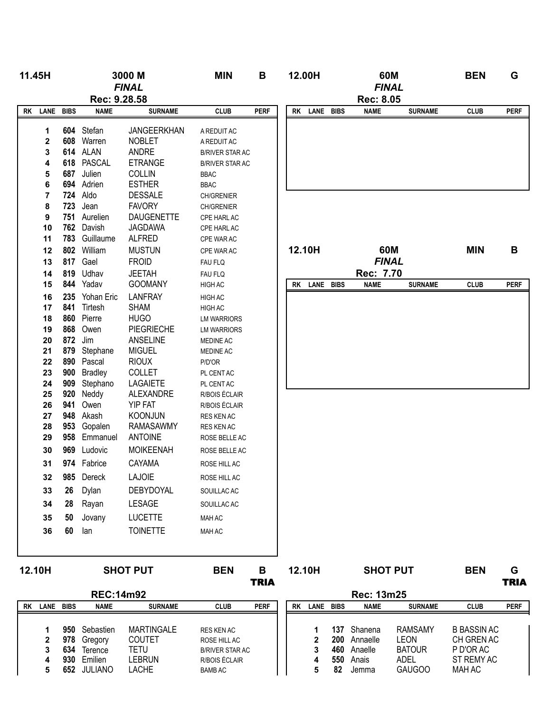| 11.45H |                                           |            |                                                                                                                           | 3000 M<br><b>FINAL</b>                                                                                                                            | <b>MIN</b>                                                                                                                                              | В                |    | 12.00H           | 60M<br><b>FINAL</b>                                     |                                                               | <b>BEN</b>                                                  | G                |
|--------|-------------------------------------------|------------|---------------------------------------------------------------------------------------------------------------------------|---------------------------------------------------------------------------------------------------------------------------------------------------|---------------------------------------------------------------------------------------------------------------------------------------------------------|------------------|----|------------------|---------------------------------------------------------|---------------------------------------------------------------|-------------------------------------------------------------|------------------|
|        |                                           |            | Rec: 9.28.58                                                                                                              |                                                                                                                                                   |                                                                                                                                                         |                  |    |                  | <b>Rec: 8.05</b>                                        |                                                               |                                                             |                  |
| rk     | LANE BIBS                                 |            | <b>NAME</b>                                                                                                               | <b>SURNAME</b>                                                                                                                                    | <b>CLUB</b>                                                                                                                                             | <b>PERF</b>      |    | RK LANE BIBS     | <b>NAME</b>                                             | <b>SURNAME</b>                                                | <b>CLUB</b>                                                 | <b>PERF</b>      |
|        | 1<br>2<br>3<br>4<br>5<br>6<br>7<br>8<br>9 | 687        | 604 Stefan<br>608 Warren<br>614 ALAN<br>618 PASCAL<br>Julien<br>694 Adrien<br><b>724 Aldo</b><br>723 Jean<br>751 Aurelien | JANGEERKHAN<br><b>NOBLET</b><br>ANDRE<br><b>ETRANGE</b><br><b>COLLIN</b><br><b>ESTHER</b><br><b>DESSALE</b><br><b>FAVORY</b><br><b>DAUGENETTE</b> | A REDUIT AC<br>A REDUIT AC<br><b>B/RIVER STAR AC</b><br><b>B/RIVER STAR AC</b><br><b>BBAC</b><br><b>BBAC</b><br>CH/GRENIER<br>CH/GRENIER<br>CPE HARL AC |                  |    |                  |                                                         |                                                               |                                                             |                  |
|        | 10                                        | 762        | Davish                                                                                                                    | <b>JAGDAWA</b>                                                                                                                                    | CPE HARL AC                                                                                                                                             |                  |    |                  |                                                         |                                                               |                                                             |                  |
|        | 11                                        | 783        | Guillaume                                                                                                                 | <b>ALFRED</b>                                                                                                                                     | CPE WAR AC                                                                                                                                              |                  |    |                  |                                                         |                                                               |                                                             |                  |
|        | 12                                        | 802        | William                                                                                                                   | <b>MUSTUN</b>                                                                                                                                     | CPE WAR AC                                                                                                                                              |                  |    | 12.10H           | 60M                                                     |                                                               | <b>MIN</b>                                                  | B                |
|        | 13                                        | 817        | Gael                                                                                                                      | <b>FROID</b>                                                                                                                                      | FAU FLQ                                                                                                                                                 |                  |    |                  | <b>FINAL</b>                                            |                                                               |                                                             |                  |
|        | 14<br>15                                  | 819<br>844 | Udhav<br>Yadav                                                                                                            | <b>JEETAH</b><br><b>GOOMANY</b>                                                                                                                   | FAU FLQ                                                                                                                                                 |                  |    | LANE BIBS        | Rec: 7.70                                               |                                                               | <b>CLUB</b>                                                 | <b>PERF</b>      |
|        | 16                                        | 235        | Yohan Eric                                                                                                                | <b>LANFRAY</b>                                                                                                                                    | HIGH AC<br>HIGH AC                                                                                                                                      |                  | RK |                  | <b>NAME</b>                                             | <b>SURNAME</b>                                                |                                                             |                  |
|        | 17                                        | 841<br>860 | Tirtesh<br>Pierre                                                                                                         | <b>SHAM</b><br><b>HUGO</b>                                                                                                                        | <b>HIGH AC</b>                                                                                                                                          |                  |    |                  |                                                         |                                                               |                                                             |                  |
|        | 18<br>19                                  | 868        | Owen                                                                                                                      | <b>PIEGRIECHE</b>                                                                                                                                 | <b>LM WARRIORS</b><br><b>LM WARRIORS</b>                                                                                                                |                  |    |                  |                                                         |                                                               |                                                             |                  |
|        | 20                                        | 872        | Jim                                                                                                                       | ANSELINE                                                                                                                                          | <b>MEDINE AC</b>                                                                                                                                        |                  |    |                  |                                                         |                                                               |                                                             |                  |
|        | 21                                        | 879        | Stephane                                                                                                                  | <b>MIGUEL</b>                                                                                                                                     | MEDINE AC                                                                                                                                               |                  |    |                  |                                                         |                                                               |                                                             |                  |
|        | 22                                        | 890        | Pascal                                                                                                                    | <b>RIOUX</b>                                                                                                                                      | P/D'OR                                                                                                                                                  |                  |    |                  |                                                         |                                                               |                                                             |                  |
|        | 23                                        | 900        | <b>Bradley</b>                                                                                                            | <b>COLLET</b>                                                                                                                                     | PL CENT AC                                                                                                                                              |                  |    |                  |                                                         |                                                               |                                                             |                  |
|        | 24                                        | 909        | Stephano                                                                                                                  | <b>LAGAIETE</b>                                                                                                                                   | PL CENT AC                                                                                                                                              |                  |    |                  |                                                         |                                                               |                                                             |                  |
|        | 25<br>26                                  | 920<br>941 | Neddy<br>Owen                                                                                                             | ALEXANDRE<br><b>YIP FAT</b>                                                                                                                       | R/BOIS ÉCLAIR<br>R/BOIS ÉCLAIR                                                                                                                          |                  |    |                  |                                                         |                                                               |                                                             |                  |
|        | 27                                        | 948        | Akash                                                                                                                     | <b>KOONJUN</b>                                                                                                                                    | RES KEN AC                                                                                                                                              |                  |    |                  |                                                         |                                                               |                                                             |                  |
|        | 28                                        | 953        | Gopalen                                                                                                                   | <b>RAMASAWMY</b>                                                                                                                                  | RES KEN AC                                                                                                                                              |                  |    |                  |                                                         |                                                               |                                                             |                  |
|        | 29                                        | 958        | Emmanuel                                                                                                                  | <b>ANTOINE</b>                                                                                                                                    | ROSE BELLE AC                                                                                                                                           |                  |    |                  |                                                         |                                                               |                                                             |                  |
|        | 30                                        | 969        | Ludovic                                                                                                                   | <b>MOIKEENAH</b>                                                                                                                                  | ROSE BELLE AC                                                                                                                                           |                  |    |                  |                                                         |                                                               |                                                             |                  |
|        | 31                                        |            | 974 Fabrice                                                                                                               | CAYAMA                                                                                                                                            | ROSE HILL AC                                                                                                                                            |                  |    |                  |                                                         |                                                               |                                                             |                  |
|        | 32                                        | 985        | Dereck                                                                                                                    | <b>LAJOIE</b>                                                                                                                                     | ROSE HILL AC                                                                                                                                            |                  |    |                  |                                                         |                                                               |                                                             |                  |
|        | 33                                        | 26         | Dylan                                                                                                                     | DEBYDOYAL                                                                                                                                         | SOUILLAC AC                                                                                                                                             |                  |    |                  |                                                         |                                                               |                                                             |                  |
|        | 34                                        | 28         | Rayan                                                                                                                     | <b>LESAGE</b>                                                                                                                                     | SOUILLAC AC                                                                                                                                             |                  |    |                  |                                                         |                                                               |                                                             |                  |
|        | 35                                        | 50         | Jovany                                                                                                                    | <b>LUCETTE</b>                                                                                                                                    | MAH AC                                                                                                                                                  |                  |    |                  |                                                         |                                                               |                                                             |                  |
|        | 36                                        | 60         | lan                                                                                                                       | <b>TOINETTE</b>                                                                                                                                   | MAH AC                                                                                                                                                  |                  |    |                  |                                                         |                                                               |                                                             |                  |
|        |                                           |            |                                                                                                                           |                                                                                                                                                   |                                                                                                                                                         |                  |    |                  |                                                         |                                                               |                                                             |                  |
| 12.10H |                                           |            |                                                                                                                           | <b>SHOT PUT</b>                                                                                                                                   | <b>BEN</b>                                                                                                                                              | В<br><b>TRIA</b> |    | 12.10H           | <b>SHOT PUT</b>                                         |                                                               | <b>BEN</b>                                                  | G<br><b>TRIA</b> |
|        |                                           |            | <b>REC:14m92</b>                                                                                                          |                                                                                                                                                   |                                                                                                                                                         |                  |    |                  | <b>Rec: 13m25</b>                                       |                                                               |                                                             |                  |
|        | RK LANE BIBS                              |            | <b>NAME</b>                                                                                                               | <b>SURNAME</b>                                                                                                                                    | <b>CLUB</b>                                                                                                                                             | <b>PERF</b>      |    | RK LANE BIBS     | <b>NAME</b>                                             | <b>SURNAME</b>                                                | <b>CLUB</b>                                                 | <b>PERF</b>      |
|        | 1<br>2<br>3<br>4                          | 978<br>634 | 950 Sebastien<br>Gregory<br>Terence<br>930 Emilien                                                                        | <b>MARTINGALE</b><br><b>COUTET</b><br><b>TETU</b><br><b>LEBRUN</b>                                                                                | RES KEN AC<br>ROSE HILL AC<br><b>B/RIVER STAR AC</b><br>R/BOIS ÉCLAIR                                                                                   |                  |    | 1<br>2<br>3<br>4 | 137 Shanena<br>200 Annaelle<br>460 Anaelle<br>550 Anais | <b>RAMSAMY</b><br><b>LEON</b><br><b>BATOUR</b><br><b>ADEL</b> | <b>B BASSIN AC</b><br>CH GREN AC<br>P D'OR AC<br>ST REMY AC |                  |
|        | 5                                         |            | 652 JULIANO                                                                                                               | <b>LACHE</b>                                                                                                                                      | <b>BAMB AC</b>                                                                                                                                          |                  |    | 5                | 82 Jemma                                                | <b>GAUGOO</b>                                                 | <b>MAH AC</b>                                               |                  |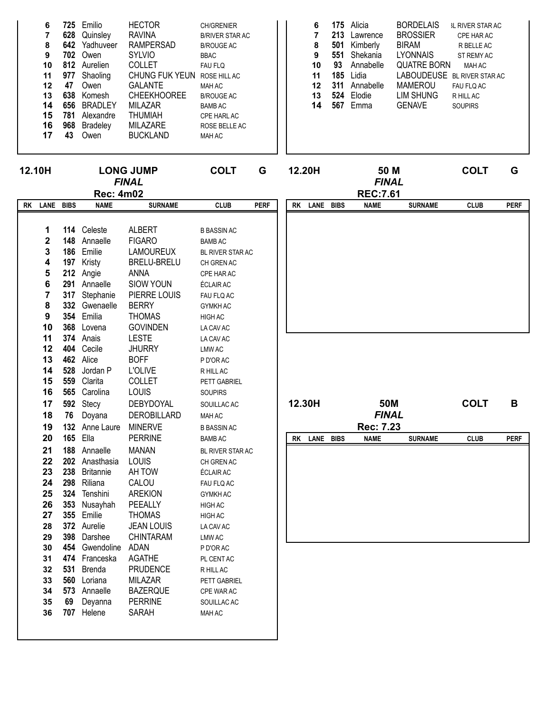| 6  | 725 | Emilio          | <b>HECTOR</b>         | <b>CH/GRENIER</b>      |
|----|-----|-----------------|-----------------------|------------------------|
| 7  | 628 | Quinsley        | <b>RAVINA</b>         | <b>B/RIVER STAR AC</b> |
| 8  |     | 642 Yadhuveer   | <b>RAMPERSAD</b>      | <b>B/ROUGE AC</b>      |
| 9  | 702 | Owen            | <b>SYLVIO</b>         | <b>BBAC</b>            |
| 10 |     | 812 Aurelien    | <b>COLLET</b>         | <b>FAU FLQ</b>         |
| 11 | 977 | Shaoling        | <b>CHUNG FUK YEUN</b> | ROSE HILL AC           |
| 12 | 47  | Owen            | <b>GALANTE</b>        | <b>MAH AC</b>          |
| 13 | 638 | Komesh          | <b>CHEEKHOOREE</b>    | <b>B/ROUGE AC</b>      |
| 14 | 656 | <b>BRADLEY</b>  | MILAZAR               | <b>BAMB AC</b>         |
| 15 | 781 | Alexandre       | <b>THUMIAH</b>        | CPE HARL AC            |
| 16 | 968 | <b>Bradeley</b> | MILAZARE              | ROSE BELLE AC          |
| 17 | 43  | Owen            | <b>BUCKLAND</b>       | <b>MAH AC</b>          |
|    |     |                 |                       |                        |

| 6  | 175 | Alicia    | <b>BORDELAIS</b>   | <b>IL RIVER STAR AC</b>     |
|----|-----|-----------|--------------------|-----------------------------|
| 7  | 213 | Lawrence  | <b>BROSSIER</b>    | CPE HAR AC                  |
| 8  | 501 | Kimberly  | <b>BIRAM</b>       | R BELLE AC                  |
| 9  | 551 | Shekania  | <b>LYONNAIS</b>    | ST REMY AC                  |
| 10 | 93  | Annabelle | <b>QUATRE BORN</b> | MAH AC                      |
| 11 | 185 | Lidia     |                    | LABOUDEUSE BL RIVER STAR AC |
| 12 | 311 | Annabelle | <b>MAMEROU</b>     | FAU FLQ AC                  |
| 13 | 524 | Elodie    | <b>LIM SHUNG</b>   | R HILL AC                   |
| 14 | 567 | Emma      | <b>GENAVE</b>      | <b>SOUPIRS</b>              |
|    |     |           |                    |                             |
|    |     |           |                    |                             |
|    |     |           |                    |                             |

|    | 12.10H                  | <b>LONG JUMP</b><br><b>FINAL</b> |                       | <b>COLT</b>                    | G                     | 12.20H<br>50 M<br><b>FINAL</b> |        |              |             |                 | <b>COLT</b>    | G           |             |
|----|-------------------------|----------------------------------|-----------------------|--------------------------------|-----------------------|--------------------------------|--------|--------------|-------------|-----------------|----------------|-------------|-------------|
|    |                         |                                  | <b>Rec: 4m02</b>      |                                |                       |                                |        |              |             | <b>REC:7.61</b> |                |             |             |
| RK | LANE BIBS               |                                  | <b>NAME</b>           | <b>SURNAME</b>                 | <b>CLUB</b>           | <b>PERF</b>                    | RK     | LANE         | <b>BIBS</b> | <b>CLUB</b>     | <b>PERF</b>    |             |             |
|    |                         |                                  |                       |                                |                       |                                |        |              |             | <b>NAME</b>     | <b>SURNAME</b> |             |             |
|    | 1                       |                                  | 114 Celeste           | <b>ALBERT</b>                  | <b>B BASSIN AC</b>    |                                |        |              |             |                 |                |             |             |
|    | 2                       |                                  | 148 Annaelle          | <b>FIGARO</b>                  | <b>BAMB AC</b>        |                                |        |              |             |                 |                |             |             |
|    | 3                       |                                  | 186 Emilie            | <b>LAMOUREUX</b>               | BL RIVER STAR AC      |                                |        |              |             |                 |                |             |             |
|    | 4                       |                                  | 197 Kristy            | BRELU-BRELU                    | CH GREN AC            |                                |        |              |             |                 |                |             |             |
|    | 5                       |                                  | 212 Angie             | <b>ANNA</b>                    | CPE HAR AC            |                                |        |              |             |                 |                |             |             |
|    | 6                       |                                  | 291 Annaelle          | <b>SIOW YOUN</b>               | ÉCLAIR AC             |                                |        |              |             |                 |                |             |             |
|    | $\overline{\mathbf{r}}$ |                                  | 317 Stephanie         | PIERRE LOUIS                   | FAU FLQ AC            |                                |        |              |             |                 |                |             |             |
|    | 8                       |                                  | 332 Gwenaelle         | <b>BERRY</b>                   | <b>GYMKH AC</b>       |                                |        |              |             |                 |                |             |             |
|    | $\boldsymbol{9}$        |                                  | 354 Emilia            | <b>THOMAS</b>                  | <b>HIGH AC</b>        |                                |        |              |             |                 |                |             |             |
|    | 10                      |                                  | 368 Lovena            | <b>GOVINDEN</b>                | LA CAV AC             |                                |        |              |             |                 |                |             |             |
|    | 11                      |                                  | 374 Anais             | <b>LESTE</b>                   | LA CAV AC             |                                |        |              |             |                 |                |             |             |
|    | 12                      |                                  | 404 Cecile            | <b>JHURRY</b>                  | <b>LMW AC</b>         |                                |        |              |             |                 |                |             |             |
|    | 13                      |                                  | 462 Alice             | <b>BOFF</b>                    | P D'OR AC             |                                |        |              |             |                 |                |             |             |
|    | 14                      |                                  | 528 Jordan P          | L'OLIVE                        | R HILL AC             |                                |        |              |             |                 |                |             |             |
|    | 15                      |                                  | 559 Clarita           | <b>COLLET</b>                  | PETT GABRIEL          |                                |        |              |             |                 |                |             |             |
|    | 16                      |                                  | 565 Carolina          | LOUIS                          | <b>SOUPIRS</b>        |                                |        |              |             |                 |                |             |             |
|    | 17                      |                                  | 592 Stecy             |                                |                       |                                | 12.30H |              |             |                 |                |             | $\mathbf B$ |
|    |                         |                                  |                       | DEBYDOYAL                      | SOUILLAC AC           |                                |        |              |             | 50M             |                | <b>COLT</b> |             |
|    | 18                      | 76                               | Doyana                | DEROBILLARD                    | MAH AC                |                                |        |              |             | <b>FINAL</b>    |                |             |             |
|    | 19                      |                                  | 132 Anne Laure        | <b>MINERVE</b>                 | <b>B BASSIN AC</b>    |                                |        |              |             | Rec: 7.23       |                |             |             |
|    | 20                      |                                  | <b>165 Ella</b>       | <b>PERRINE</b>                 | <b>BAMB AC</b>        |                                |        | RK LANE BIBS |             | <b>NAME</b>     | <b>SURNAME</b> | <b>CLUB</b> | <b>PERF</b> |
|    | 21                      |                                  | 188 Annaelle          | <b>MANAN</b>                   | BL RIVER STAR AC      |                                |        |              |             |                 |                |             |             |
|    | 22                      |                                  | 202 Anasthasia        | LOUIS                          | CH GREN AC            |                                |        |              |             |                 |                |             |             |
|    | 23                      |                                  | 238 Britannie         | AH TOW                         | ÉCLAIR AC             |                                |        |              |             |                 |                |             |             |
|    | 24                      |                                  | 298 Riliana           | CALOU                          | FAU FLQ AC            |                                |        |              |             |                 |                |             |             |
|    | 25                      |                                  | 324 Tenshini          | <b>AREKION</b>                 | <b>GYMKH AC</b>       |                                |        |              |             |                 |                |             |             |
|    | 26                      |                                  | 353 Nusayhah          | PEEALLY                        | <b>HIGH AC</b>        |                                |        |              |             |                 |                |             |             |
|    | 27                      |                                  | 355 Emilie            | <b>THOMAS</b>                  | HIGH AC               |                                |        |              |             |                 |                |             |             |
|    | 28                      |                                  | 372 Aurelie           | <b>JEAN LOUIS</b>              | LA CAV AC             |                                |        |              |             |                 |                |             |             |
|    | 29                      |                                  | 398 Darshee           | <b>CHINTARAM</b>               | LMW AC                |                                |        |              |             |                 |                |             |             |
|    | 30                      |                                  | 454 Gwendoline        | ADAN                           | P D'OR AC             |                                |        |              |             |                 |                |             |             |
|    | 31                      |                                  | 474 Franceska         | <b>AGATHE</b>                  | PL CENT AC            |                                |        |              |             |                 |                |             |             |
|    | 32                      |                                  | 531 Brenda            | <b>PRUDENCE</b>                | R HILL AC             |                                |        |              |             |                 |                |             |             |
|    | 33                      |                                  | 560 Loriana           | <b>MILAZAR</b>                 | PETT GABRIEL          |                                |        |              |             |                 |                |             |             |
|    | 34                      |                                  | 573 Annaelle          | <b>BAZERQUE</b>                | CPE WAR AC            |                                |        |              |             |                 |                |             |             |
|    | 35<br>36                | 69                               | Deyanna<br>707 Helene | <b>PERRINE</b><br><b>SARAH</b> | SOUILLAC AC<br>MAH AC |                                |        |              |             |                 |                |             |             |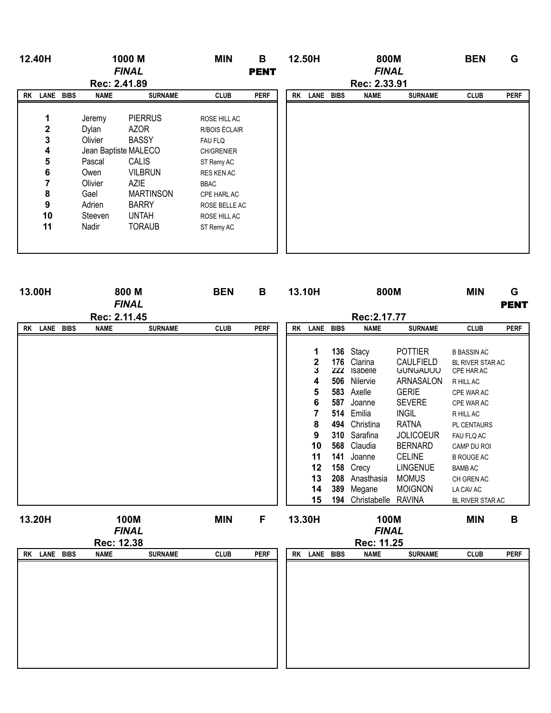| 12.40H         |              |              | 1000 M               | <b>MIN</b>        | B           |  |           | 12.50H    |              | 800M         |                | <b>BEN</b>  | G           |
|----------------|--------------|--------------|----------------------|-------------------|-------------|--|-----------|-----------|--------------|--------------|----------------|-------------|-------------|
|                | <b>FINAL</b> |              |                      | <b>PENT</b>       |             |  |           |           | <b>FINAL</b> |              |                |             |             |
|                |              | Rec: 2.41.89 |                      |                   |             |  |           |           |              | Rec: 2.33.91 |                |             |             |
| <b>RK LANE</b> | <b>BIBS</b>  | <b>NAME</b>  | <b>SURNAME</b>       | <b>CLUB</b>       | <b>PERF</b> |  | <b>RK</b> | LANE BIBS |              | <b>NAME</b>  | <b>SURNAME</b> | <b>CLUB</b> | <b>PERF</b> |
|                |              |              |                      |                   |             |  |           |           |              |              |                |             |             |
| 1              |              | Jeremy       | <b>PIERRUS</b>       | ROSE HILL AC      |             |  |           |           |              |              |                |             |             |
| $\mathbf 2$    |              | Dylan        | <b>AZOR</b>          | R/BOIS ÉCLAIR     |             |  |           |           |              |              |                |             |             |
| 3              |              | Olivier      | <b>BASSY</b>         | <b>FAU FLQ</b>    |             |  |           |           |              |              |                |             |             |
| 4              |              |              | Jean Baptiste MALECO | <b>CH/GRENIER</b> |             |  |           |           |              |              |                |             |             |
| 5              |              | Pascal       | <b>CALIS</b>         | ST Remy AC        |             |  |           |           |              |              |                |             |             |
| 6              |              | Owen         | <b>VILBRUN</b>       | RES KEN AC        |             |  |           |           |              |              |                |             |             |
| 7              |              | Olivier      | <b>AZIE</b>          | BBAC              |             |  |           |           |              |              |                |             |             |
| 8              |              | Gael         | <b>MARTINSON</b>     | CPE HARL AC       |             |  |           |           |              |              |                |             |             |
| 9              |              | Adrien       | <b>BARRY</b>         | ROSE BELLE AC     |             |  |           |           |              |              |                |             |             |
| 10             |              | Steeven      | <b>UNTAH</b>         | ROSE HILL AC      |             |  |           |           |              |              |                |             |             |
| 11             |              | Nadir        | <b>TORAUB</b>        | ST Remy AC        |             |  |           |           |              |              |                |             |             |
|                |              |              |                      |                   |             |  |           |           |              |              |                |             |             |
|                |              |              |                      |                   |             |  |           |           |              |              |                |             |             |

| 13.00H                 |              | 800 M<br><b>FINAL</b> |             | <b>BEN</b><br>B |           |                  |             | 13.10H                     |                              | 800M                           | <b>MIN</b>  | G<br><b>PENT</b> |  |
|------------------------|--------------|-----------------------|-------------|-----------------|-----------|------------------|-------------|----------------------------|------------------------------|--------------------------------|-------------|------------------|--|
|                        | Rec: 2.11.45 |                       |             |                 |           |                  |             | Rec: 2.17.77               |                              |                                |             |                  |  |
| LANE BIBS<br><b>RK</b> | <b>NAME</b>  | <b>SURNAME</b>        | <b>CLUB</b> | <b>PERF</b>     | <b>RK</b> | LANE             | <b>BIBS</b> | <b>NAME</b>                | <b>SURNAME</b>               | <b>CLUB</b>                    | <b>PERF</b> |                  |  |
|                        |              |                       |             |                 |           |                  |             |                            |                              |                                |             |                  |  |
|                        |              |                       |             |                 |           | 1                |             | 136 Stacy                  | <b>POTTIER</b>               | <b>B BASSIN AC</b>             |             |                  |  |
|                        |              |                       |             |                 |           | $\mathbf 2$<br>3 | 176<br>222  | Clarina<br>Isabelle        | CAULFIELD<br><b>GUNGADOO</b> | BL RIVER STAR AC<br>CPE HAR AC |             |                  |  |
|                        |              |                       |             |                 |           | 4                | 506         | Nilervie                   | ARNASALON                    | R HILL AC                      |             |                  |  |
|                        |              |                       |             |                 |           | 5                |             | 583 Axelle                 | <b>GERIE</b>                 | CPE WAR AC                     |             |                  |  |
|                        |              |                       |             |                 |           | 6                | 587         | Joanne                     | <b>SEVERE</b>                | CPE WAR AC                     |             |                  |  |
|                        |              |                       |             |                 |           | 7                | 514         | Emilia                     | <b>INGIL</b>                 | R HILL AC                      |             |                  |  |
|                        |              |                       |             |                 |           | 8                | 494         | Christina                  | <b>RATNA</b>                 | PL CENTAURS                    |             |                  |  |
|                        |              |                       |             |                 |           | 9                | 310         | Sarafina                   | <b>JOLICOEUR</b>             | FAU FLQ AC                     |             |                  |  |
|                        |              |                       |             |                 |           | 10               | 568         | Claudia                    | <b>BERNARD</b>               | CAMP DU ROI                    |             |                  |  |
|                        |              |                       |             |                 |           | 11               | 141         | Joanne                     | <b>CELINE</b>                | <b>B ROUGE AC</b>              |             |                  |  |
|                        |              |                       |             |                 |           | 12               | 158         | Crecy                      | <b>LINGENUE</b>              | <b>BAMB AC</b>                 |             |                  |  |
|                        |              |                       |             |                 |           | 13               |             | 208 Anasthasia             | <b>MOMUS</b>                 | CH GREN AC                     |             |                  |  |
|                        |              |                       |             |                 |           | 14               | 389         | Megane                     | <b>MOIGNON</b>               | LA CAV AC                      |             |                  |  |
|                        |              |                       |             |                 |           | 15               | 194         | Christabelle RAVINA        |                              | BL RIVER STAR AC               |             |                  |  |
| 13.20H                 | 100M         |                       | <b>MIN</b>  | F               |           | 13.30H           |             | 100M                       |                              | <b>MIN</b>                     | B           |                  |  |
|                        | <b>FINAL</b> |                       |             |                 |           |                  |             |                            |                              |                                |             |                  |  |
|                        | Rec: 12.38   |                       |             |                 |           |                  |             | <b>FINAL</b><br>Rec: 11.25 |                              |                                |             |                  |  |
| LANE BIBS<br><b>RK</b> | <b>NAME</b>  | <b>SURNAME</b>        | <b>CLUB</b> | <b>PERF</b>     | <b>RK</b> | LANE             | <b>BIBS</b> | <b>NAME</b>                | <b>SURNAME</b>               | <b>CLUB</b>                    | <b>PERF</b> |                  |  |
|                        |              |                       |             |                 |           |                  |             |                            |                              |                                |             |                  |  |
|                        |              |                       |             |                 |           |                  |             |                            |                              |                                |             |                  |  |
|                        |              |                       |             |                 |           |                  |             |                            |                              |                                |             |                  |  |
|                        |              |                       |             |                 |           |                  |             |                            |                              |                                |             |                  |  |
|                        |              |                       |             |                 |           |                  |             |                            |                              |                                |             |                  |  |
|                        |              |                       |             |                 |           |                  |             |                            |                              |                                |             |                  |  |
|                        |              |                       |             |                 |           |                  |             |                            |                              |                                |             |                  |  |
|                        |              |                       |             |                 |           |                  |             |                            |                              |                                |             |                  |  |
|                        |              |                       |             |                 |           |                  |             |                            |                              |                                |             |                  |  |